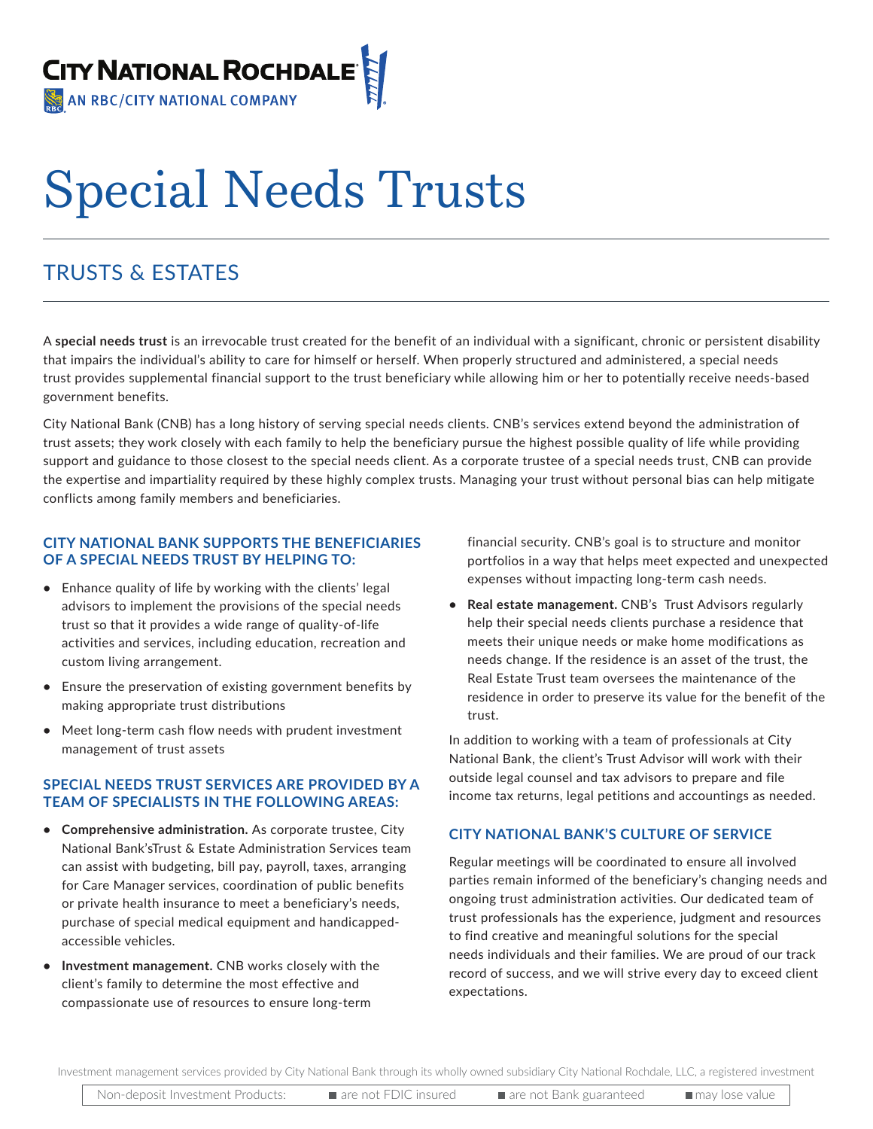

# Special Needs Trusts

## TRUSTS & ESTATES

A **special needs trust** is an irrevocable trust created for the benefit of an individual with a significant, chronic or persistent disability that impairs the individual's ability to care for himself or herself. When properly structured and administered, a special needs trust provides supplemental financial support to the trust beneficiary while allowing him or her to potentially receive needs-based government benefits.

City National Bank (CNB) has a long history of serving special needs clients. CNB's services extend beyond the administration of trust assets; they work closely with each family to help the beneficiary pursue the highest possible quality of life while providing support and guidance to those closest to the special needs client. As a corporate trustee of a special needs trust, CNB can provide the expertise and impartiality required by these highly complex trusts. Managing your trust without personal bias can help mitigate conflicts among family members and beneficiaries.

#### **CITY NATIONAL BANK SUPPORTS THE BENEFICIARIES OF A SPECIAL NEEDS TRUST BY HELPING TO:**

- **•** Enhance quality of life by working with the clients' legal advisors to implement the provisions of the special needs trust so that it provides a wide range of quality-of-life activities and services, including education, recreation and custom living arrangement.
- **•** Ensure the preservation of existing government benefits by making appropriate trust distributions
- **•** Meet long-term cash flow needs with prudent investment management of trust assets

### **SPECIAL NEEDS TRUST SERVICES ARE PROVIDED BY A TEAM OF SPECIALISTS IN THE FOLLOWING AREAS:**

- **• Comprehensive administration.** As corporate trustee, City National Bank'sTrust & Estate Administration Services team can assist with budgeting, bill pay, payroll, taxes, arranging for Care Manager services, coordination of public benefits or private health insurance to meet a beneficiary's needs, purchase of special medical equipment and handicappedaccessible vehicles.
- **• Investment management.** CNB works closely with the client's family to determine the most effective and compassionate use of resources to ensure long-term

financial security. CNB's goal is to structure and monitor portfolios in a way that helps meet expected and unexpected expenses without impacting long-term cash needs.

**• Real estate management.** CNB's Trust Advisors regularly help their special needs clients purchase a residence that meets their unique needs or make home modifications as needs change. If the residence is an asset of the trust, the Real Estate Trust team oversees the maintenance of the residence in order to preserve its value for the benefit of the trust.

In addition to working with a team of professionals at City National Bank, the client's Trust Advisor will work with their outside legal counsel and tax advisors to prepare and file income tax returns, legal petitions and accountings as needed.

### **CITY NATIONAL BANK'S CULTURE OF SERVICE**

Regular meetings will be coordinated to ensure all involved parties remain informed of the beneficiary's changing needs and ongoing trust administration activities. Our dedicated team of trust professionals has the experience, judgment and resources to find creative and meaningful solutions for the special needs individuals and their families. We are proud of our track record of success, and we will strive every day to exceed client expectations.

Investment management services provided by City National Bank through its wholly owned subsidiary City National Rochdale, LLC, a registered investment